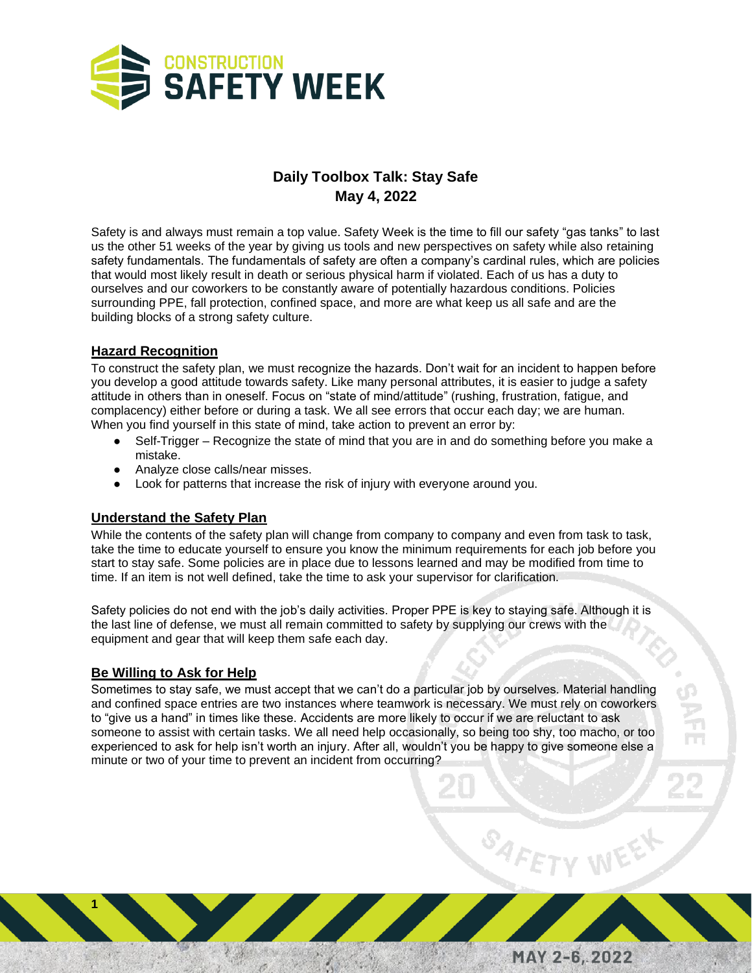

# **Daily Toolbox Talk: Stay Safe May 4, 2022**

Safety is and always must remain a top value. Safety Week is the time to fill our safety "gas tanks" to last us the other 51 weeks of the year by giving us tools and new perspectives on safety while also retaining safety fundamentals. The fundamentals of safety are often a company's cardinal rules, which are policies that would most likely result in death or serious physical harm if violated. Each of us has a duty to ourselves and our coworkers to be constantly aware of potentially hazardous conditions. Policies surrounding PPE, fall protection, confined space, and more are what keep us all safe and are the building blocks of a strong safety culture.

## **Hazard Recognition**

To construct the safety plan, we must recognize the hazards. Don't wait for an incident to happen before you develop a good attitude towards safety. Like many personal attributes, it is easier to judge a safety attitude in others than in oneself. Focus on "state of mind/attitude" (rushing, frustration, fatigue, and complacency) either before or during a task. We all see errors that occur each day; we are human. When you find yourself in this state of mind, take action to prevent an error by:

- Self-Trigger Recognize the state of mind that you are in and do something before you make a mistake.
- Analyze close calls/near misses.
- Look for patterns that increase the risk of injury with everyone around you.

#### **Understand the Safety Plan**

While the contents of the safety plan will change from company to company and even from task to task, take the time to educate yourself to ensure you know the minimum requirements for each job before you start to stay safe. Some policies are in place due to lessons learned and may be modified from time to time. If an item is not well defined, take the time to ask your supervisor for clarification.

Safety policies do not end with the job's daily activities. Proper PPE is key to staying safe. Although it is the last line of defense, we must all remain committed to safety by supplying our crews with the equipment and gear that will keep them safe each day.

## **Be Willing to Ask for Help**

**1**

Sometimes to stay safe, we must accept that we can't do a particular job by ourselves. Material handling and confined space entries are two instances where teamwork is necessary. We must rely on coworkers to "give us a hand" in times like these. Accidents are more likely to occur if we are reluctant to ask someone to assist with certain tasks. We all need help occasionally, so being too shy, too macho, or too experienced to ask for help isn't worth an injury. After all, wouldn't you be happy to give someone else a minute or two of your time to prevent an incident from occurring?

MAY 2-6, 2022